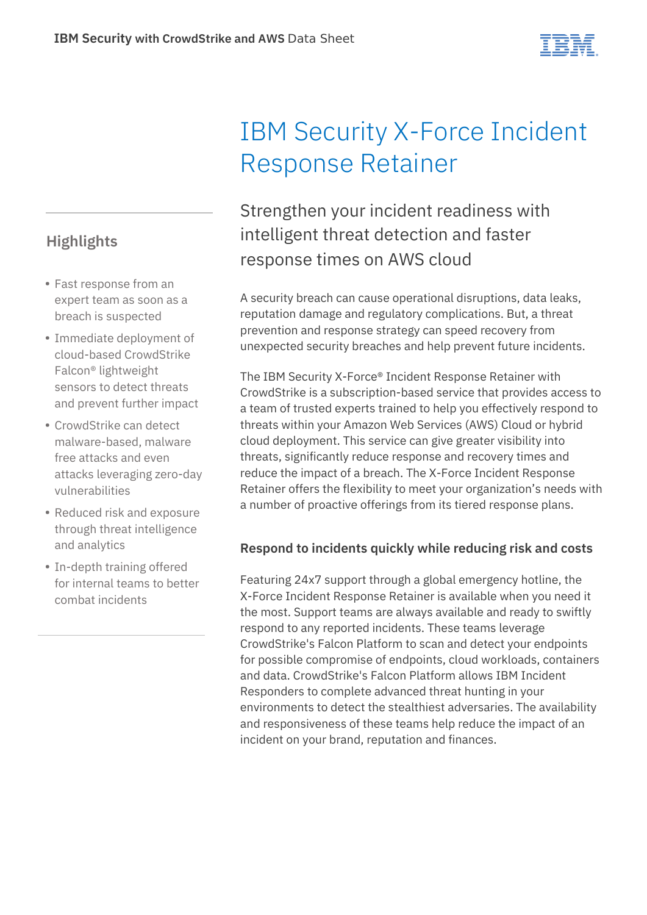# **Highlights**

- Fast response from an expert team as soon as a breach is suspected
- Immediate deployment of cloud-based CrowdStrike Falcon® lightweight sensors to detect threats and prevent further impact
- CrowdStrike can detect malware-based, malware free attacks and even attacks leveraging zero-day vulnerabilities
- Reduced risk and exposure through threat intelligence and analytics
- In-depth training offered for internal teams to better combat incidents

# IBM Security X-Force Incident Response Retainer

Strengthen your incident readiness with intelligent threat detection and faster response times on AWS cloud

A security breach can cause operational disruptions, data leaks, reputation damage and regulatory complications. But, a threat prevention and response strategy can speed recovery from unexpected security breaches and help prevent future incidents.

The IBM Security X-Force® Incident Response Retainer with CrowdStrike is a subscription-based service that provides access to a team of trusted experts trained to help you effectively respond to threats within your Amazon Web Services (AWS) Cloud or hybrid cloud deployment. This service can give greater visibility into threats, significantly reduce response and recovery times and reduce the impact of a breach. The X-Force Incident Response Retainer offers the flexibility to meet your organization's needs with a number of proactive offerings from its tiered response plans.

#### **Respond to incidents quickly while reducing risk and costs**

Featuring 24x7 support through a global emergency hotline, the X-Force Incident Response Retainer is available when you need it the most. Support teams are always available and ready to swiftly respond to any reported incidents. These teams leverage CrowdStrike's Falcon Platform to scan and detect your endpoints for possible compromise of endpoints, cloud workloads, containers and data. CrowdStrike's Falcon Platform allows IBM Incident Responders to complete advanced threat hunting in your environments to detect the stealthiest adversaries. The availability and responsiveness of these teams help reduce the impact of an incident on your brand, reputation and finances.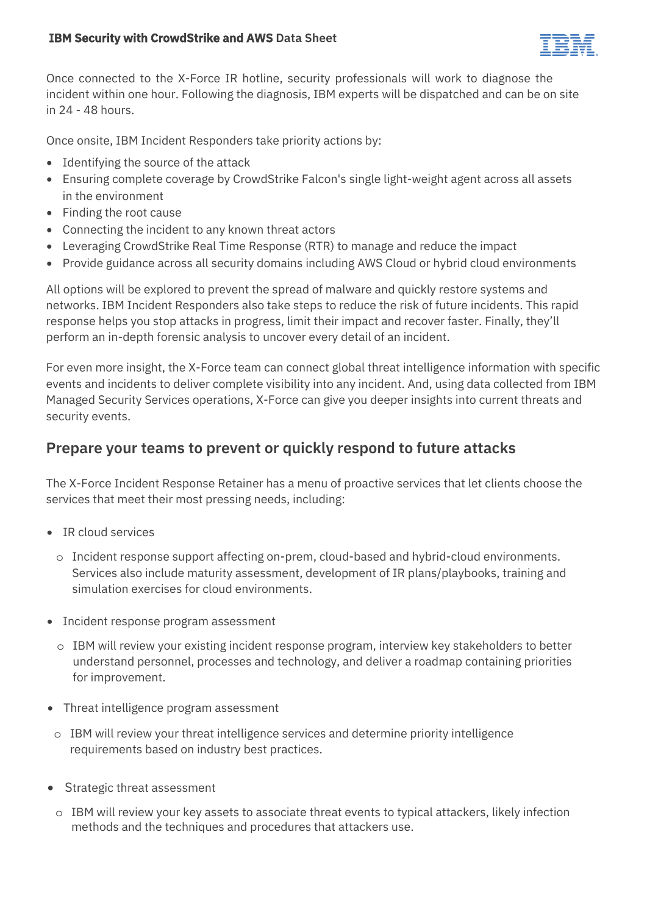

Once connected to the X-Force IR hotline, security professionals will work to diagnose the incident within one hour. Following the diagnosis, IBM experts will be dispatched and can be on site in 24 - 48 hours.

Once onsite, IBM Incident Responders take priority actions by:

- Identifying the source of the attack
- Ensuring complete coverage by CrowdStrike Falcon's single light-weight agent across all assets in the environment
- Finding the root cause
- Connecting the incident to any known threat actors
- Leveraging CrowdStrike Real Time Response (RTR) to manage and reduce the impact
- Provide guidance across all security domains including AWS Cloud or hybrid cloud environments

All options will be explored to prevent the spread of malware and quickly restore systems and networks. IBM Incident Responders also take steps to reduce the risk of future incidents. This rapid response helps you stop attacks in progress, limit their impact and recover faster. Finally, they'll perform an in-depth forensic analysis to uncover every detail of an incident.

For even more insight, the X-Force team can connect global threat intelligence information with specific events and incidents to deliver complete visibility into any incident. And, using data collected from IBM Managed Security Services operations, X-Force can give you deeper insights into current threats and security events.

### **Prepare your teams to prevent or quickly respond to future attacks**

The X-Force Incident Response Retainer has a menu of proactive services that let clients choose the services that meet their most pressing needs, including:

- IR cloud services
	- o Incident response support affecting on-prem, cloud-based and hybrid-cloud environments. Services also include maturity assessment, development of IR plans/playbooks, training and simulation exercises for cloud environments.
- Incident response program assessment
	- o IBM will review your existing incident response program, interview key stakeholders to better understand personnel, processes and technology, and deliver a roadmap containing priorities for improvement.
- Threat intelligence program assessment
	- o IBM will review your threat intelligence services and determine priority intelligence requirements based on industry best practices.
- Strategic threat assessment
	- o IBM will review your key assets to associate threat events to typical attackers, likely infection methods and the techniques and procedures that attackers use.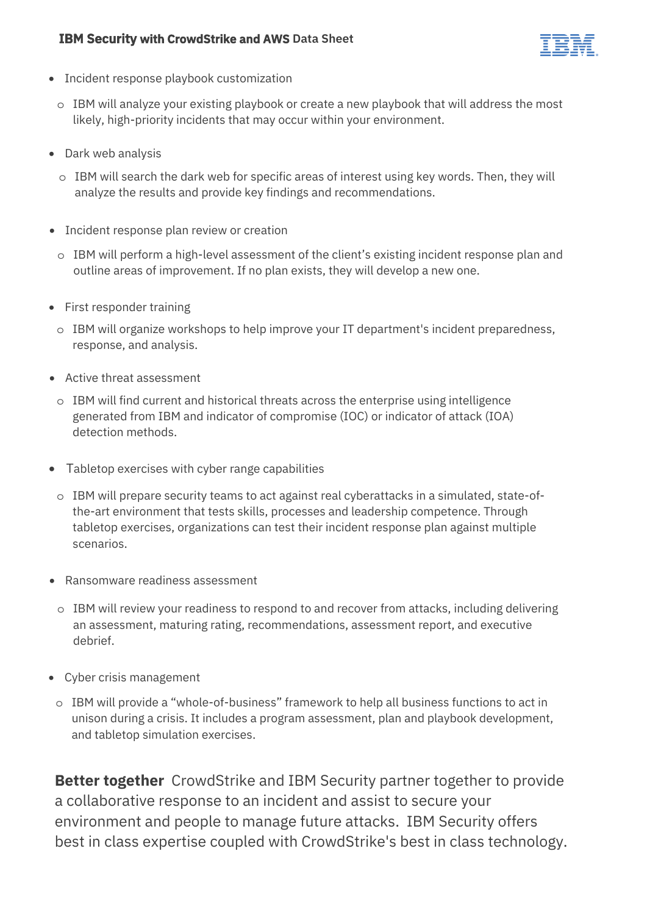#### **IBM Security with CrowdStrike and AWS Data Sheet**



- Incident response playbook customization
	- $\circ$  IBM will analyze your existing playbook or create a new playbook that will address the most likely, high-priority incidents that may occur within your environment.
- Dark web analysis
	- $\circ$  IBM will search the dark web for specific areas of interest using key words. Then, they will analyze the results and provide key findings and recommendations.
- Incident response plan review or creation
	- o IBM will perform a high-level assessment of the client's existing incident response plan and outline areas of improvement. If no plan exists, they will develop a new one.
- First responder training
- $\circ$  IBM will organize workshops to help improve your IT department's incident preparedness, response, and analysis.
- Active threat assessment
- o IBM will find current and historical threats across the enterprise using intelligence generated from IBM and indicator of compromise (IOC) or indicator of attack (IOA) detection methods.
- Tabletop exercises with cyber range capabilities
	- o IBM will prepare security teams to act against real cyberattacks in a simulated, state-ofthe-art environment that tests skills, processes and leadership competence. Through tabletop exercises, organizations can test their incident response plan against multiple scenarios.
- Ransomware readiness assessment
- o IBM will review your readiness to respond to and recover from attacks, including delivering an assessment, maturing rating, recommendations, assessment report, and executive debrief.
- Cyber crisis management
	- o IBM will provide a "whole-of-business" framework to help all business functions to act in unison during a crisis. It includes a program assessment, plan and playbook development, and tabletop simulation exercises.

**Better together** CrowdStrike and IBM Security partner together to provide a collaborative response to an incident and assist to secure your environment and people to manage future attacks. IBM Security offers best in class expertise coupled with CrowdStrike's best in class technology.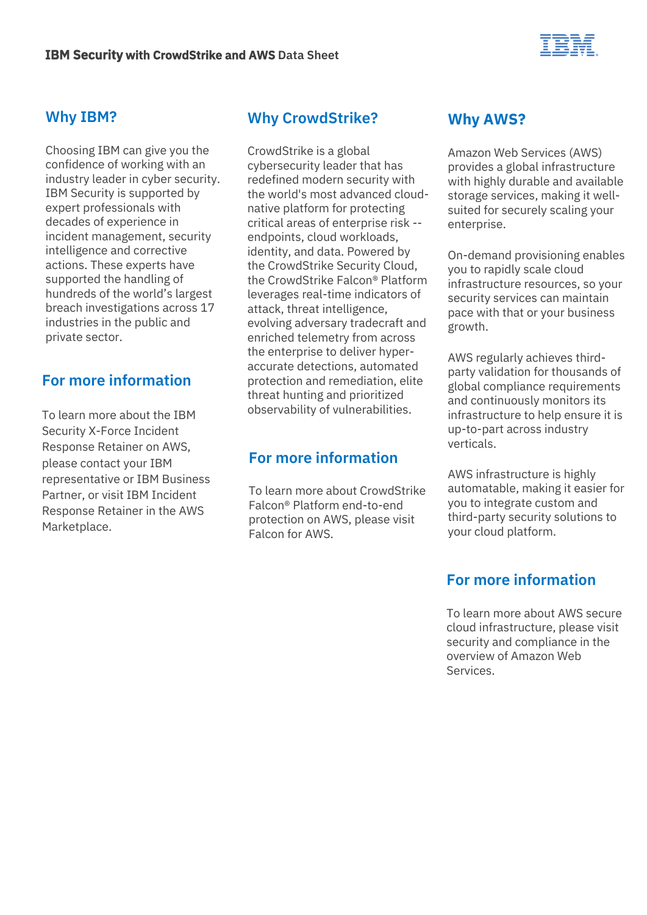

#### **Why IBM?**

Choosing IBM can give you the confidence of working with an industry leader in cyber security. IBM Security is supported by expert professionals with decades of experience in incident management, security intelligence and corrective actions. These experts have supported the handling of hundreds of the world's largest breach investigations across 17 industries in the public and private sector.

# **For more information**

To learn more about the IBM Security X-Force Incident Response Retainer on AWS, please contact your IBM representative or IBM Business Partner, or visit IBM Incident [Response Retainer in the AWS](https://aws.amazon.com/marketplace/pp/prodview-r5zrvepclkkjs?ref_=srh_res_product_title)  Marketplace.

# **Why CrowdStrike?**

CrowdStrike is a global cybersecurity leader that has redefined modern security with the world's most advanced cloudnative platform for protecting critical areas of enterprise risk - endpoints, cloud workloads, identity, and data. Powered by the CrowdStrike Security Cloud, the CrowdStrike Falcon® Platform leverages real-time indicators of attack, threat intelligence, evolving adversary tradecraft and enriched telemetry from across the enterprise to deliver hyperaccurate detections, automated protection and remediation, elite threat hunting and prioritized observability of vulnerabilities.

# **For more information**

To learn more about CrowdStrike Falcon® Platform end-to-end [protection on AWS, please visit](https://www.crowdstrike.com/cloud-security-products/falcon-for-aws/)  Falcon for AWS.

# **Why AWS?**

Amazon Web Services (AWS) provides a global infrastructure with highly durable and available storage services, making it wellsuited for securely scaling your enterprise.

On-demand provisioning enables you to rapidly scale cloud infrastructure resources, so your security services can maintain pace with that or your business growth.

AWS regularly achieves thirdparty validation for thousands of global compliance requirements and continuously monitors its infrastructure to help ensure it is up-to-part across industry verticals.

AWS infrastructure is highly automatable, making it easier for you to integrate custom and third-party security solutions to your cloud platform.

# **For more information**

To learn more about AWS secure cloud infrastructure, please visit security and compliance in the [overview of Amazon Web](https://docs.aws.amazon.com/whitepapers/latest/aws-overview/security-and-compliance.html)  Services.